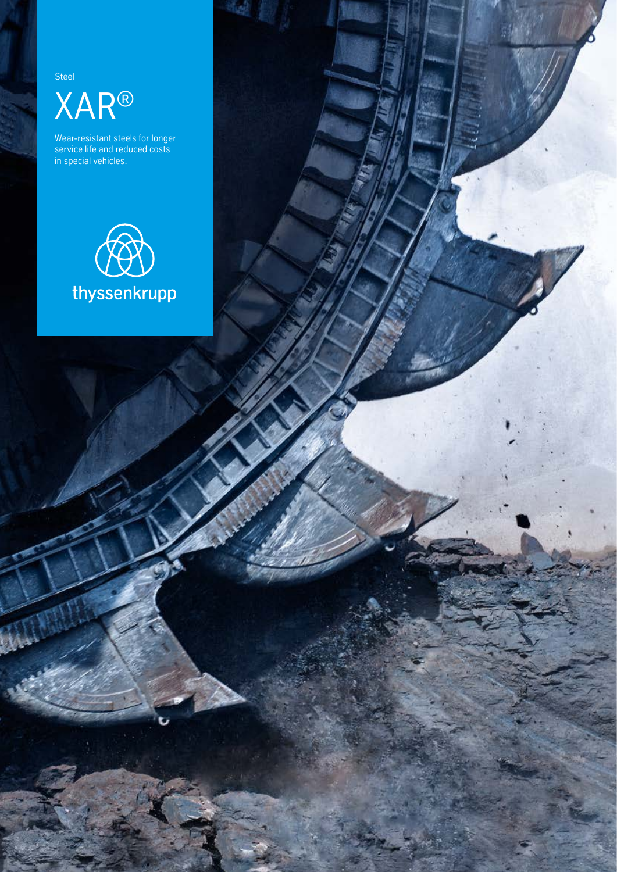Steel XAR®

Wear-resistant steels for longer service life and reduced costs in special vehicles.

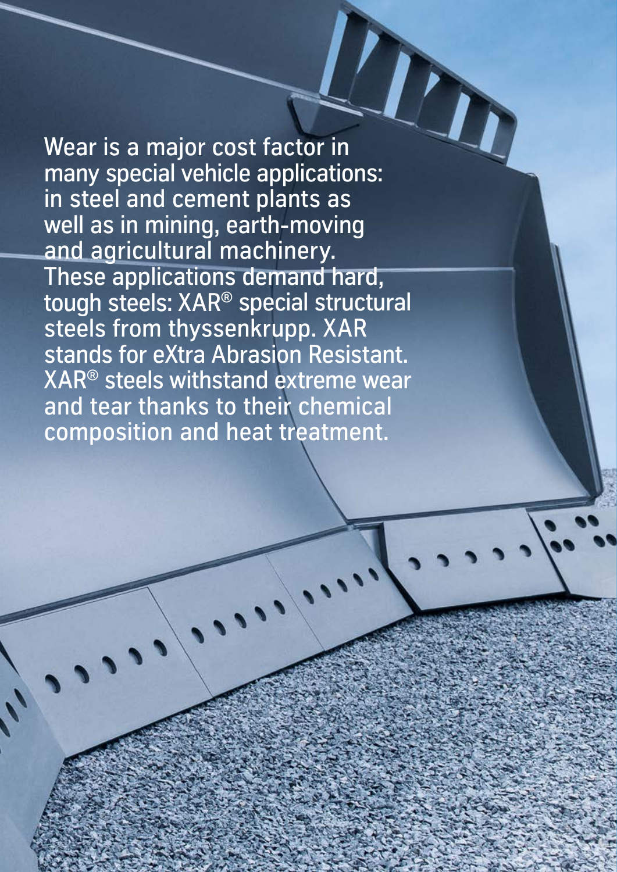Wear is a major cost factor in many special vehicle applications: in steel and cement plants as well as in mining, earth-moving and agricultural machinery. These applications demand hard, tough steels: XAR® special structural steels from thyssenkrupp. XAR stands for eXtra Abrasion Resistant. XAR® steels withstand extreme wear and tear thanks to their chemical composition and heat treatment.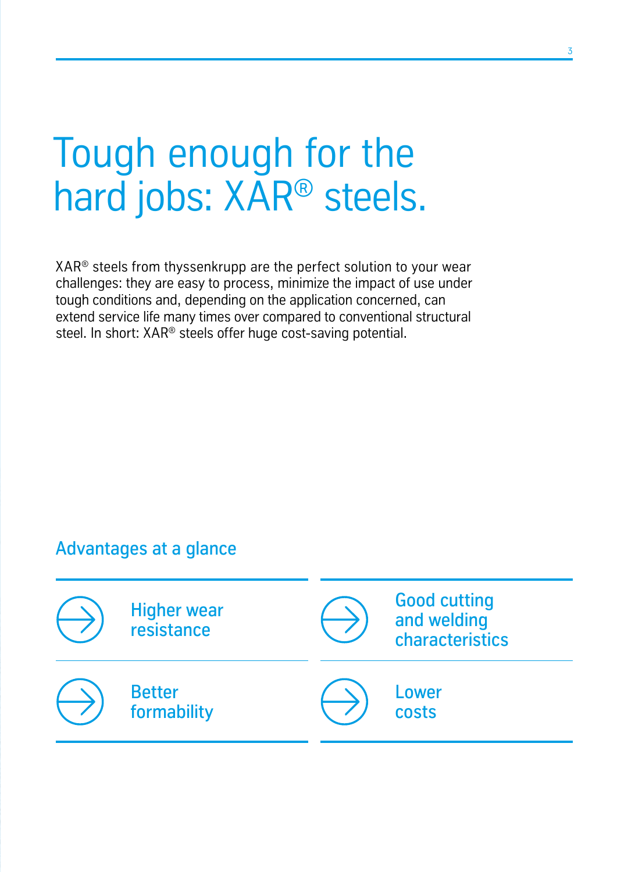# Tough enough for the hard jobs: XAR® steels.

 $XAR<sup>®</sup>$  steels from thyssenkrupp are the perfect solution to your wear challenges: they are easy to process, minimize the impact of use under tough conditions and, depending on the application concerned, can extend service life many times over compared to conventional structural steel. In short: XAR<sup>®</sup> steels offer huge cost-saving potential.

# Advantages at a glance

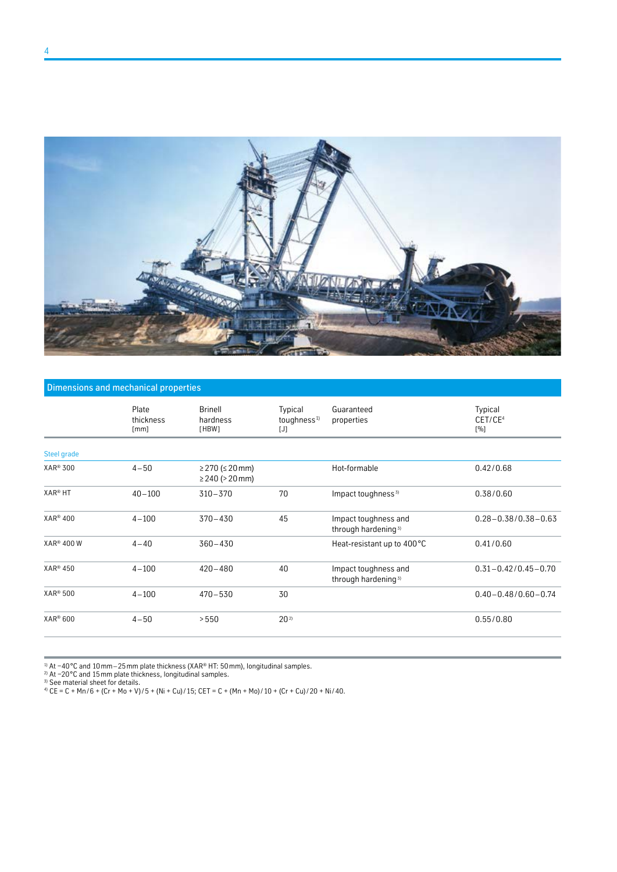

#### Dimensions and mechanical properties

| Plate<br>thickness<br>[mm] | <b>Brinell</b><br>hardness<br>[HBW]        | Typical<br>toughness <sup>1)</sup><br>$[J]$ | Guaranteed<br>properties                                | Typical<br>CET/CE <sup>4</sup><br>[%] |
|----------------------------|--------------------------------------------|---------------------------------------------|---------------------------------------------------------|---------------------------------------|
|                            |                                            |                                             |                                                         |                                       |
| $4 - 50$                   | ≥ 270 (≤ 20 mm)<br>$\geq$ 240 ( $>$ 20 mm) |                                             | Hot-formable                                            | 0.42/0.68                             |
| $40 - 100$                 | $310 - 370$                                | 70                                          | Impact toughness <sup>3)</sup>                          | 0.38/0.60                             |
| $4 - 100$                  | $370 - 430$                                | 45                                          | Impact toughness and<br>through hardening <sup>3)</sup> | $0.28 - 0.38/0.38 - 0.63$             |
| $4 - 40$                   | $360 - 430$                                |                                             | Heat-resistant up to 400 °C                             | 0.41/0.60                             |
| $4 - 100$                  | $420 - 480$                                | 40                                          | Impact toughness and<br>through hardening <sup>3)</sup> | $0.31 - 0.42/0.45 - 0.70$             |
| $4 - 100$                  | $470 - 530$                                | 30                                          |                                                         | $0.40 - 0.48/0.60 - 0.74$             |
| $4 - 50$                   | > 550                                      | $20^{2}$                                    |                                                         | 0.55/0.80                             |
|                            |                                            |                                             |                                                         |                                       |

1) At −40 °C and 10 mm – 25 mm plate thickness (XAR® HT: 50mm), longitudinal samples.

2) At −20 °C and 15 mm plate thickness, longitudinal samples.

3) See material sheet for details.

4) CE = C + Mn / 6 + (Cr + Mo + V) / 5 + (Ni + Cu) / 15; CET = C + (Mn + Mo) / 10 + (Cr + Cu) / 20 + Ni / 40.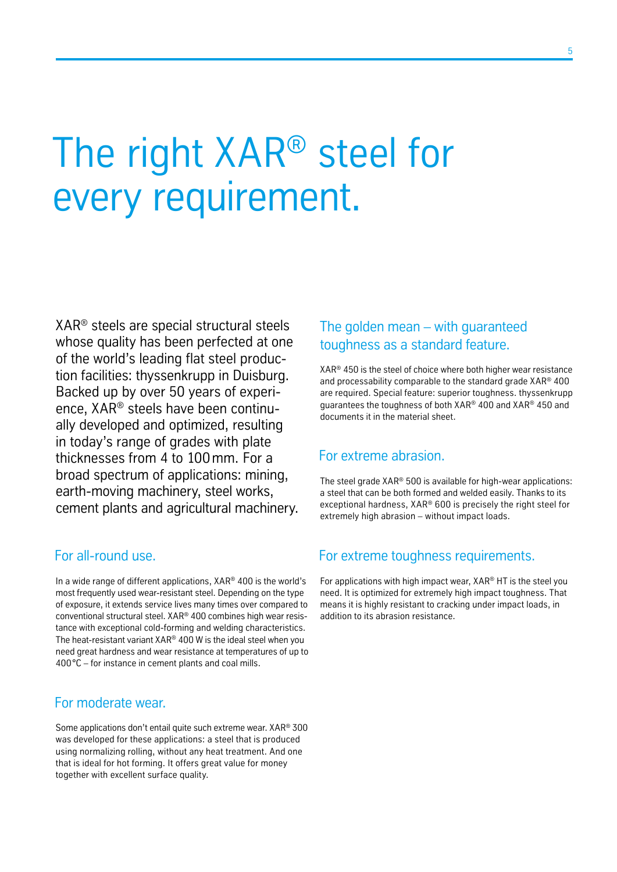# The right XAR® steel for every requirement.

XAR® steels are special structural steels whose quality has been perfected at one of the world's leading flat steel production facilities: thyssenkrupp in Duisburg. Backed up by over 50 years of experience, XAR® steels have been continually developed and optimized, resulting in today's range of grades with plate thicknesses from 4 to 100mm. For a broad spectrum of applications: mining, earth-moving machinery, steel works, cement plants and agricultural machinery.

## For all-round use.

In a wide range of different applications, XAR® 400 is the world's most frequently used wear-resistant steel. Depending on the type of exposure, it extends service lives many times over compared to conventional structural steel. XAR® 400 combines high wear resistance with exceptional cold-forming and welding characteristics. The heat-resistant variant XAR® 400 W is the ideal steel when you need great hardness and wear resistance at temperatures of up to 400°C – for instance in cement plants and coal mills.

## For moderate wear.

Some applications don't entail quite such extreme wear. XAR® 300 was developed for these applications: a steel that is produced using normalizing rolling, without any heat treatment. And one that is ideal for hot forming. It offers great value for money together with excellent surface quality.

## The golden mean – with guaranteed toughness as a standard feature.

XAR® 450 is the steel of choice where both higher wear resistance and processability comparable to the standard grade XAR® 400 are required. Special feature: superior toughness. thyssenkrupp guarantees the toughness of both XAR® 400 and XAR® 450 and documents it in the material sheet.

### For extreme abrasion.

The steel grade XAR® 500 is available for high-wear applications: a steel that can be both formed and welded easily. Thanks to its exceptional hardness, XAR® 600 is precisely the right steel for extremely high abrasion – without impact loads.

### For extreme toughness requirements.

For applications with high impact wear, XAR® HT is the steel you need. It is optimized for extremely high impact toughness. That means it is highly resistant to cracking under impact loads, in addition to its abrasion resistance.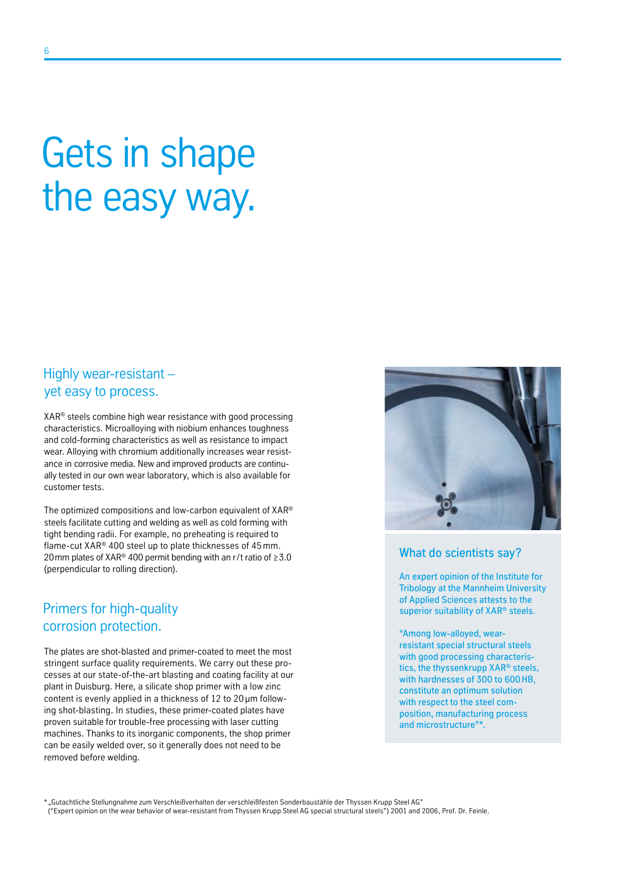# Gets in shape the easy way.

## Highly wear-resistant – yet easy to process.

XAR® steels combine high wear resistance with good processing characteristics. Microalloying with niobium enhances toughness and cold-forming characteristics as well as resistance to impact wear. Alloying with chromium additionally increases wear resistance in corrosive media. New and improved products are continually tested in our own wear laboratory, which is also available for customer tests.

The optimized compositions and low-carbon equivalent of XAR® steels facilitate cutting and welding as well as cold forming with tight bending radii. For example, no preheating is required to flame-cut XAR® 400 steel up to plate thicknesses of 45mm. 20 mm plates of XAR<sup>®</sup> 400 permit bending with an r/t ratio of  $\geq 3.0$ (perpendicular to rolling direction).

# Primers for high-quality corrosion protection.

The plates are shot-blasted and primer-coated to meet the most stringent surface quality requirements. We carry out these processes at our state-of-the-art blasting and coating facility at our plant in Duisburg. Here, a silicate shop primer with a low zinc content is evenly applied in a thickness of 12 to 20 μm following shot-blasting. In studies, these primer-coated plates have proven suitable for trouble-free processing with laser cutting machines. Thanks to its inorganic components, the shop primer can be easily welded over, so it generally does not need to be removed before welding.



#### What do scientists say?

An expert opinion of the Institute for Tribology at the Mannheim University of Applied Sciences attests to the superior suitability of XAR® steels.

"Among low-alloyed, wearresistant special structural steels with good processing characteristics, the thyssenkrupp XAR® steels, with hardnesses of 300 to 600HB, constitute an optimum solution with respect to the steel composition, manufacturing process and microstructure"\*.

\* "Gutachtliche Stellungnahme zum Verschleißverhalten der verschleißfesten Sonderbaustähle der Thyssen Krupp Steel AG" ("Expert opinion on the wear behavior of wear-resistant from Thyssen Krupp Steel AG special structural steels") 2001 and 2006, Prof. Dr. Feinle.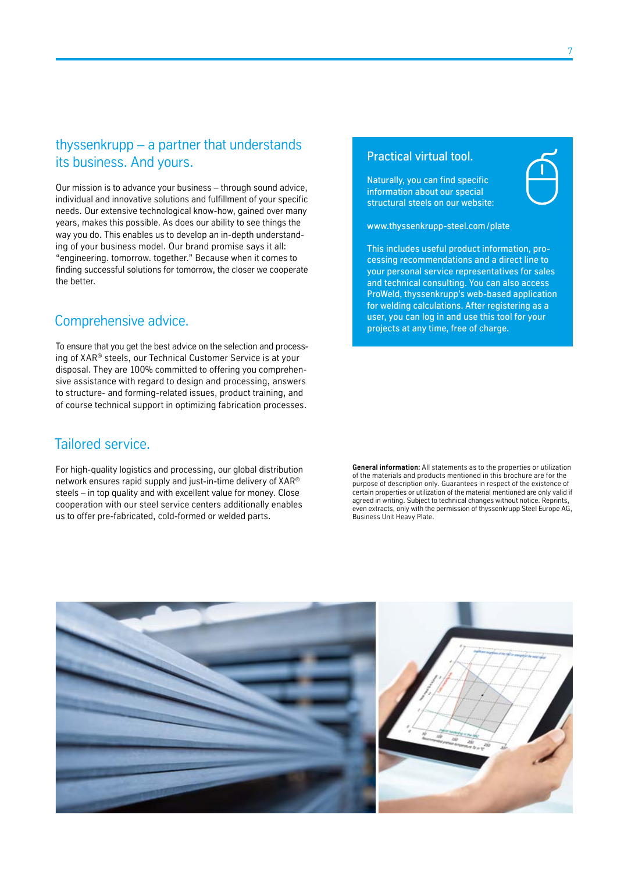## thyssenkrupp – a partner that understands its business. And yours.

Our mission is to advance your business – through sound advice, individual and innovative solutions and fulfillment of your specific needs. Our extensive technological know-how, gained over many years, makes this possible. As does our ability to see things the way you do. This enables us to develop an in-depth understanding of your business model. Our brand promise says it all: "engineering. tomorrow. together." Because when it comes to finding successful solutions for tomorrow, the closer we cooperate the better.

## Comprehensive advice.

To ensure that you get the best advice on the selection and processing of XAR® steels, our Technical Customer Service is at your disposal. They are 100% committed to offering you comprehensive assistance with regard to design and processing, answers to structure- and forming-related issues, product training, and of course technical support in optimizing fabrication processes.

## Tailored service.

For high-quality logistics and processing, our global distribution network ensures rapid supply and just-in-time delivery of XAR® steels – in top quality and with excellent value for money. Close cooperation with our steel service centers additionally enables us to offer pre-fabricated, cold-formed or welded parts.

#### Practical virtual tool.

Naturally, you can find specific information about our special structural steels on our website:

www.thyssenkrupp-steel.com/plate

This includes useful product information, processing recommendations and a direct line to your personal service representatives for sales and technical consulting. You can also access ProWeld, thyssenkrupp's web-based application for welding calculations. After registering as a user, you can log in and use this tool for your projects at any time, free of charge.

**General information:** All statements as to the properties or utilization of the materials and products mentioned in this brochure are for the purpose of description only. Guarantees in respect of the existence of certain properties or utilization of the material mentioned are only valid if agreed in writing. Subject to technical changes without notice. Reprints, even extracts, only with the permission of thyssenkrupp Steel Europe AG, Business Unit Heavy Plate.